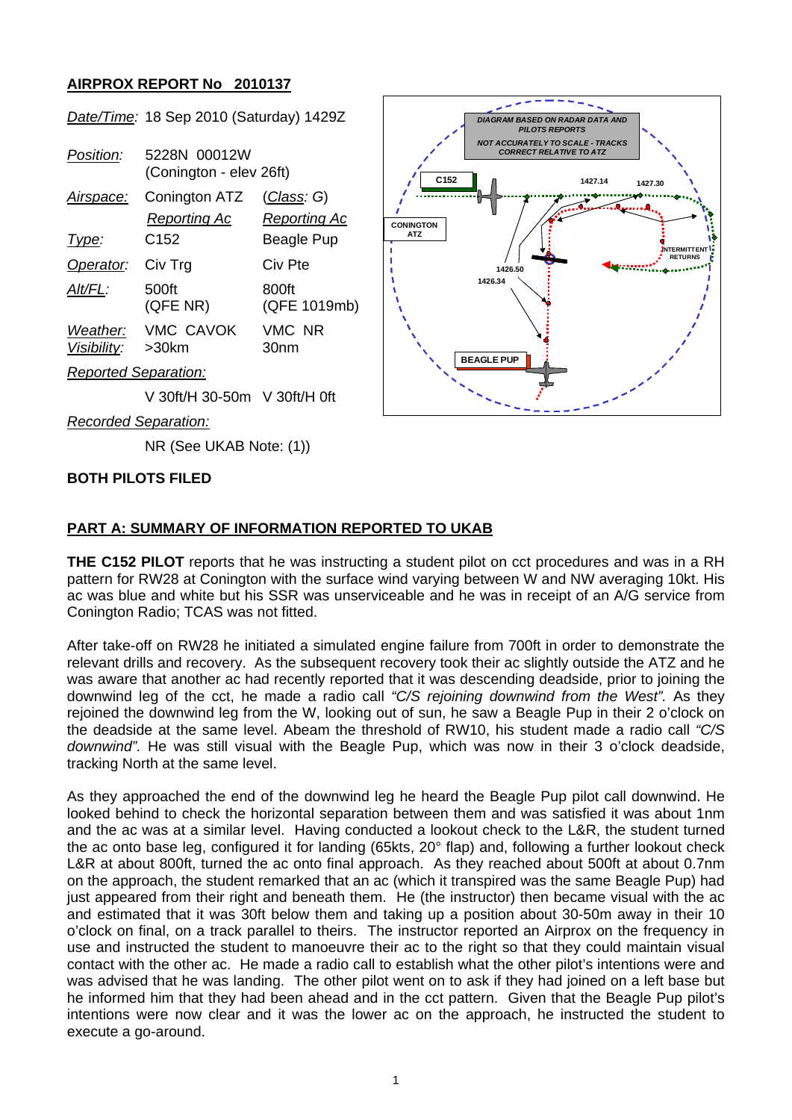## **AIRPROX REPORT No 2010137**

*Date/Time:* 18 Sep 2010 (Saturday) 1429Z

|                             | <i>Date/Time.</i> To Sep 20TO (Saturday) 14292 |                       |
|-----------------------------|------------------------------------------------|-----------------------|
| Position:                   | 5228N 00012W<br>(Conington - elev 26ft)        |                       |
| Airspace:                   | Conington ATZ                                  | <u>(Class</u> : G)    |
|                             | Reporting Ac                                   | Reporting Ac          |
| Type:                       | C152                                           | Beagle Pup            |
| Operator:                   | Civ Trg                                        | Civ Pte               |
| Alt/FL:                     | 500ft<br>(QFE NR)                              | 800ft<br>(QFE 1019mb) |
| Visibility:                 | Weather: VMC CAVOK<br>$>30$ km                 | VMC NR<br>30nm        |
| <b>Reported Separation:</b> |                                                |                       |
|                             | V 30ft/H 30-50m V 30ft/H 0ft                   |                       |



*Recorded Separation:*

NR (See UKAB Note: (1))

#### **BOTH PILOTS FILED**

### **PART A: SUMMARY OF INFORMATION REPORTED TO UKAB**

**THE C152 PILOT** reports that he was instructing a student pilot on cct procedures and was in a RH pattern for RW28 at Conington with the surface wind varying between W and NW averaging 10kt. His ac was blue and white but his SSR was unserviceable and he was in receipt of an A/G service from Conington Radio; TCAS was not fitted.

After take-off on RW28 he initiated a simulated engine failure from 700ft in order to demonstrate the relevant drills and recovery. As the subsequent recovery took their ac slightly outside the ATZ and he was aware that another ac had recently reported that it was descending deadside, prior to joining the downwind leg of the cct, he made a radio call *"C/S rejoining downwind from the West".* As they rejoined the downwind leg from the W, looking out of sun, he saw a Beagle Pup in their 2 o'clock on the deadside at the same level. Abeam the threshold of RW10, his student made a radio call *"C/S downwind".* He was still visual with the Beagle Pup, which was now in their 3 o'clock deadside, tracking North at the same level.

As they approached the end of the downwind leg he heard the Beagle Pup pilot call downwind. He looked behind to check the horizontal separation between them and was satisfied it was about 1nm and the ac was at a similar level. Having conducted a lookout check to the L&R, the student turned the ac onto base leg, configured it for landing (65kts, 20° flap) and, following a further lookout check L&R at about 800ft, turned the ac onto final approach. As they reached about 500ft at about 0.7nm on the approach, the student remarked that an ac (which it transpired was the same Beagle Pup) had just appeared from their right and beneath them. He (the instructor) then became visual with the ac and estimated that it was 30ft below them and taking up a position about 30-50m away in their 10 o'clock on final, on a track parallel to theirs. The instructor reported an Airprox on the frequency in use and instructed the student to manoeuvre their ac to the right so that they could maintain visual contact with the other ac. He made a radio call to establish what the other pilot's intentions were and was advised that he was landing. The other pilot went on to ask if they had joined on a left base but he informed him that they had been ahead and in the cct pattern. Given that the Beagle Pup pilot's intentions were now clear and it was the lower ac on the approach, he instructed the student to execute a go-around.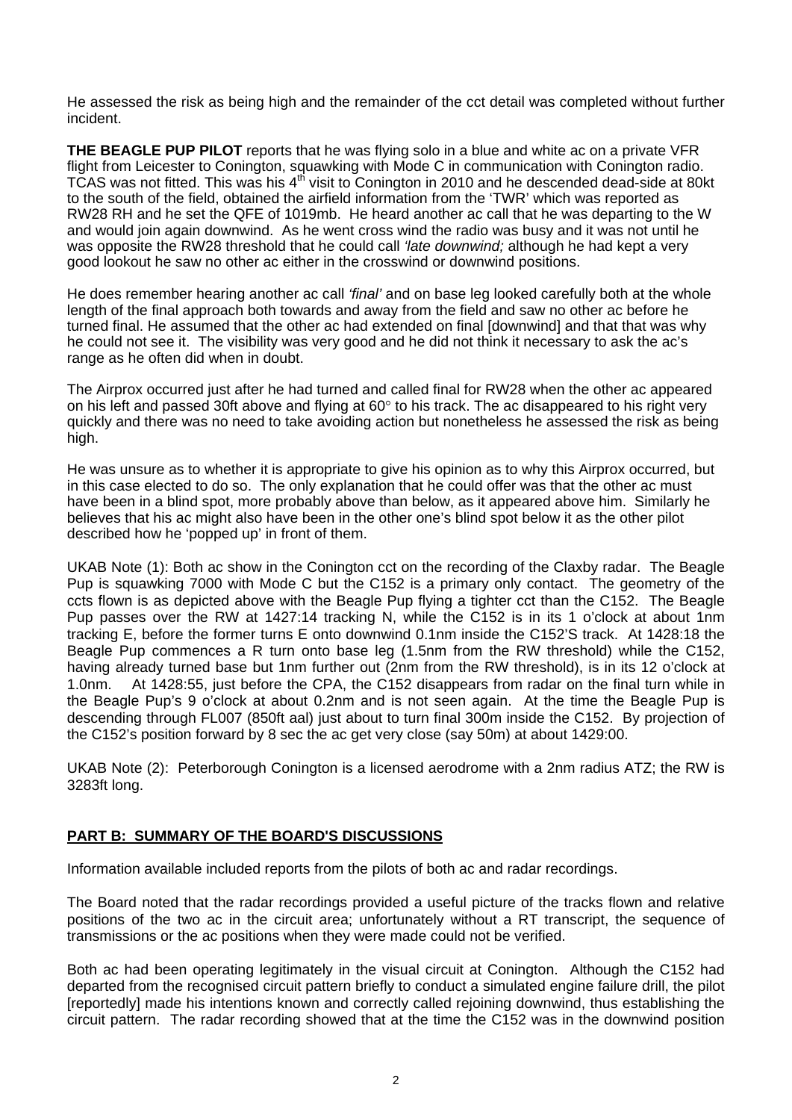He assessed the risk as being high and the remainder of the cct detail was completed without further incident.

**THE BEAGLE PUP PILOT** reports that he was flying solo in a blue and white ac on a private VFR flight from Leicester to Conington, squawking with Mode C in communication with Conington radio. TCAS was not fitted. This was his 4<sup>th</sup> visit to Conington in 2010 and he descended dead-side at 80kt to the south of the field, obtained the airfield information from the 'TWR' which was reported as RW28 RH and he set the QFE of 1019mb. He heard another ac call that he was departing to the W and would join again downwind. As he went cross wind the radio was busy and it was not until he was opposite the RW28 threshold that he could call *'late downwind;* although he had kept a very good lookout he saw no other ac either in the crosswind or downwind positions.

He does remember hearing another ac call *'final'* and on base leg looked carefully both at the whole length of the final approach both towards and away from the field and saw no other ac before he turned final. He assumed that the other ac had extended on final [downwind] and that that was why he could not see it. The visibility was very good and he did not think it necessary to ask the ac's range as he often did when in doubt.

The Airprox occurred just after he had turned and called final for RW28 when the other ac appeared on his left and passed 30ft above and flying at 60° to his track. The ac disappeared to his right very quickly and there was no need to take avoiding action but nonetheless he assessed the risk as being high.

He was unsure as to whether it is appropriate to give his opinion as to why this Airprox occurred, but in this case elected to do so. The only explanation that he could offer was that the other ac must have been in a blind spot, more probably above than below, as it appeared above him. Similarly he believes that his ac might also have been in the other one's blind spot below it as the other pilot described how he 'popped up' in front of them.

UKAB Note (1): Both ac show in the Conington cct on the recording of the Claxby radar. The Beagle Pup is squawking 7000 with Mode C but the C152 is a primary only contact. The geometry of the ccts flown is as depicted above with the Beagle Pup flying a tighter cct than the C152. The Beagle Pup passes over the RW at 1427:14 tracking N, while the C152 is in its 1 o'clock at about 1nm tracking E, before the former turns E onto downwind 0.1nm inside the C152'S track. At 1428:18 the Beagle Pup commences a R turn onto base leg (1.5nm from the RW threshold) while the C152, having already turned base but 1nm further out (2nm from the RW threshold), is in its 12 o'clock at 1.0nm. At 1428:55, just before the CPA, the C152 disappears from radar on the final turn while in the Beagle Pup's 9 o'clock at about 0.2nm and is not seen again. At the time the Beagle Pup is descending through FL007 (850ft aal) just about to turn final 300m inside the C152. By projection of the C152's position forward by 8 sec the ac get very close (say 50m) at about 1429:00.

UKAB Note (2): Peterborough Conington is a licensed aerodrome with a 2nm radius ATZ; the RW is 3283ft long.

### **PART B: SUMMARY OF THE BOARD'S DISCUSSIONS**

Information available included reports from the pilots of both ac and radar recordings.

The Board noted that the radar recordings provided a useful picture of the tracks flown and relative positions of the two ac in the circuit area; unfortunately without a RT transcript, the sequence of transmissions or the ac positions when they were made could not be verified.

Both ac had been operating legitimately in the visual circuit at Conington. Although the C152 had departed from the recognised circuit pattern briefly to conduct a simulated engine failure drill, the pilot [reportedly] made his intentions known and correctly called rejoining downwind, thus establishing the circuit pattern. The radar recording showed that at the time the C152 was in the downwind position